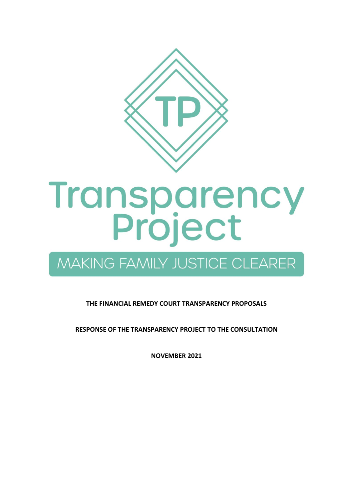

# **Transparency<br>Project**

# MAKING FAMILY JUSTICE CLEARER

**THE FINANCIAL REMEDY COURT TRANSPARENCY PROPOSALS**

**RESPONSE OF THE TRANSPARENCY PROJECT TO THE CONSULTATION**

**NOVEMBER 2021**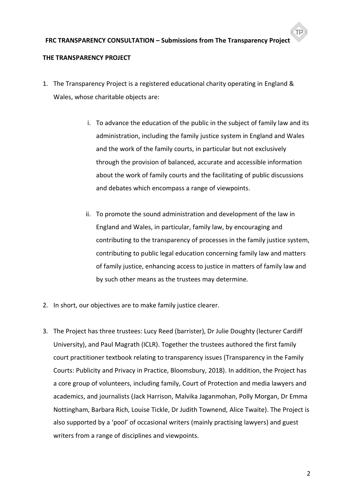#### **THE TRANSPARENCY PROJECT**

- 1. The Transparency Project is a registered educational charity operating in England & Wales, whose charitable objects are:
	- i. To advance the education of the public in the subject of family law and its administration, including the family justice system in England and Wales and the work of the family courts, in particular but not exclusively through the provision of balanced, accurate and accessible information about the work of family courts and the facilitating of public discussions and debates which encompass a range of viewpoints.
	- ii. To promote the sound administration and development of the law in England and Wales, in particular, family law, by encouraging and contributing to the transparency of processes in the family justice system, contributing to public legal education concerning family law and matters of family justice, enhancing access to justice in matters of family law and by such other means as the trustees may determine.
- 2. In short, our objectives are to make family justice clearer.
- 3. The Project has three trustees: Lucy Reed (barrister), Dr Julie Doughty (lecturer Cardiff University), and Paul Magrath (ICLR). Together the trustees authored the first family court practitioner textbook relating to transparency issues (Transparency in the Family Courts: Publicity and Privacy in Practice, Bloomsbury, 2018). In addition, the Project has a core group of volunteers, including family, Court of Protection and media lawyers and academics, and journalists (Jack Harrison, Malvika Jaganmohan, Polly Morgan, Dr Emma Nottingham, Barbara Rich, Louise Tickle, Dr Judith Townend, Alice Twaite). The Project is also supported by a 'pool' of occasional writers (mainly practising lawyers) and guest writers from a range of disciplines and viewpoints.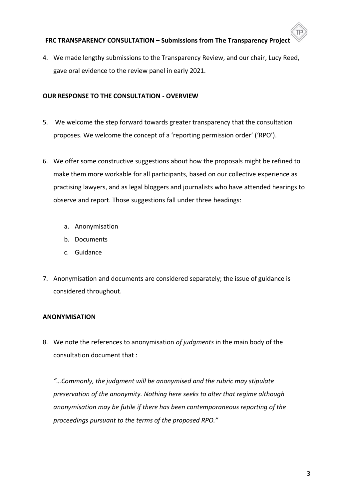4. We made lengthy submissions to the Transparency Review, and our chair, Lucy Reed, gave oral evidence to the review panel in early 2021.

#### **OUR RESPONSE TO THE CONSULTATION - OVERVIEW**

- 5. We welcome the step forward towards greater transparency that the consultation proposes. We welcome the concept of a 'reporting permission order' ('RPO').
- 6. We offer some constructive suggestions about how the proposals might be refined to make them more workable for all participants, based on our collective experience as practising lawyers, and as legal bloggers and journalists who have attended hearings to observe and report. Those suggestions fall under three headings:
	- a. Anonymisation
	- b. Documents
	- c. Guidance
- 7. Anonymisation and documents are considered separately; the issue of guidance is considered throughout.

#### **ANONYMISATION**

8. We note the references to anonymisation *of judgments* in the main body of the consultation document that :

*"…Commonly, the judgment will be anonymised and the rubric may stipulate preservation of the anonymity. Nothing here seeks to alter that regime although anonymisation may be futile if there has been contemporaneous reporting of the proceedings pursuant to the terms of the proposed RPO."*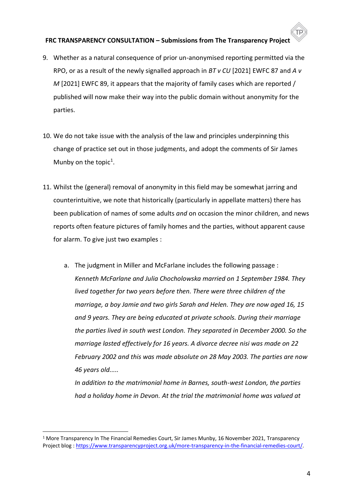- 9. Whether as a natural consequence of prior un-anonymised reporting permitted via the RPO, or as a result of the newly signalled approach in *BT v CU* [2021] EWFC 87 and *A v M* [2021] EWFC 89, it appears that the majority of family cases which are reported / published will now make their way into the public domain without anonymity for the parties.
- 10. We do not take issue with the analysis of the law and principles underpinning this change of practice set out in those judgments, and adopt the comments of Sir James Munby on the topic<sup>1</sup>.
- 11. Whilst the (general) removal of anonymity in this field may be somewhat jarring and counterintuitive, we note that historically (particularly in appellate matters) there has been publication of names of some adults *and* on occasion the minor children, and news reports often feature pictures of family homes and the parties, without apparent cause for alarm. To give just two examples :
	- a. The judgment in Miller and McFarlane includes the following passage : *Kenneth McFarlane and Julia Chocholowska married on 1 September 1984. They lived together for two years before then. There were three children of the marriage, a boy Jamie and two girls Sarah and Helen. They are now aged 16, 15 and 9 years. They are being educated at private schools. During their marriage the parties lived in south west London. They separated in December 2000. So the marriage lasted effectively for 16 years. A divorce decree nisi was made on 22 February 2002 and this was made absolute on 28 May 2003. The parties are now 46 years old.....*

*In addition to the matrimonial home in Barnes, south-west London, the parties had a holiday home in Devon. At the trial the matrimonial home was valued at* 

<sup>1</sup> More Transparency In The Financial Remedies Court, Sir James Munby, 16 November 2021, Transparency Project blog : [https://www.transparencyproject.org.uk/more-transparency-in-the-financial-remedies-court/.](https://www.transparencyproject.org.uk/more-transparency-in-the-financial-remedies-court/)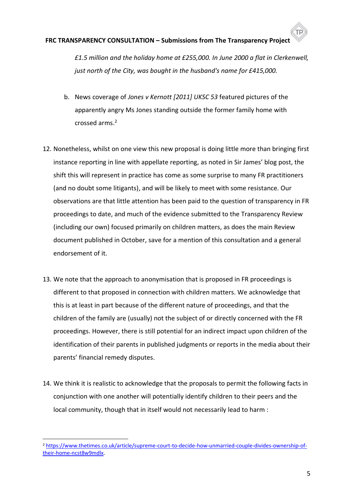*£1.5 million and the holiday home at £255,000. In June 2000 a flat in Clerkenwell, just north of the City, was bought in the husband's name for £415,000.*

- b. News coverage of *Jones v Kernott [2011] UKSC 53* featured pictures of the apparently angry Ms Jones standing outside the former family home with crossed arms. 2
- 12. Nonetheless, whilst on one view this new proposal is doing little more than bringing first instance reporting in line with appellate reporting, as noted in Sir James' blog post, the shift this will represent in practice has come as some surprise to many FR practitioners (and no doubt some litigants), and will be likely to meet with some resistance. Our observations are that little attention has been paid to the question of transparency in FR proceedings to date, and much of the evidence submitted to the Transparency Review (including our own) focused primarily on children matters, as does the main Review document published in October, save for a mention of this consultation and a general endorsement of it.
- 13. We note that the approach to anonymisation that is proposed in FR proceedings is different to that proposed in connection with children matters. We acknowledge that this is at least in part because of the different nature of proceedings, and that the children of the family are (usually) not the subject of or directly concerned with the FR proceedings. However, there is still potential for an indirect impact upon children of the identification of their parents in published judgments or reports in the media about their parents' financial remedy disputes.
- 14. We think it is realistic to acknowledge that the proposals to permit the following facts in conjunction with one another will potentially identify children to their peers and the local community, though that in itself would not necessarily lead to harm :

<sup>2</sup> [https://www.thetimes.co.uk/article/supreme-court-to-decide-how-unmarried-couple-divides-ownership-of](https://www.thetimes.co.uk/article/supreme-court-to-decide-how-unmarried-couple-divides-ownership-of-their-home-ncst8w9mdlx)[their-home-ncst8w9mdlx.](https://www.thetimes.co.uk/article/supreme-court-to-decide-how-unmarried-couple-divides-ownership-of-their-home-ncst8w9mdlx)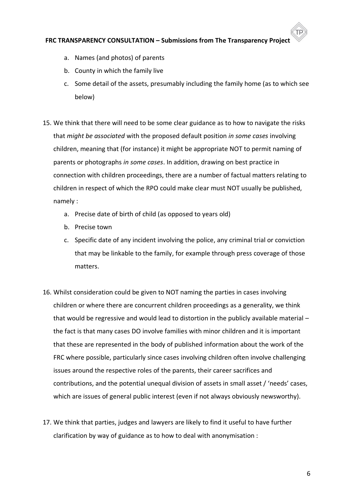- a. Names (and photos) of parents
- b. County in which the family live
- c. Some detail of the assets, presumably including the family home (as to which see below)
- 15. We think that there will need to be some clear guidance as to how to navigate the risks that *might be associated* with the proposed default position *in some cases* involving children, meaning that (for instance) it might be appropriate NOT to permit naming of parents or photographs *in some cases*. In addition, drawing on best practice in connection with children proceedings, there are a number of factual matters relating to children in respect of which the RPO could make clear must NOT usually be published, namely :
	- a. Precise date of birth of child (as opposed to years old)
	- b. Precise town
	- c. Specific date of any incident involving the police, any criminal trial or conviction that may be linkable to the family, for example through press coverage of those matters.
- 16. Whilst consideration could be given to NOT naming the parties in cases involving children or where there are concurrent children proceedings as a generality, we think that would be regressive and would lead to distortion in the publicly available material – the fact is that many cases DO involve families with minor children and it is important that these are represented in the body of published information about the work of the FRC where possible, particularly since cases involving children often involve challenging issues around the respective roles of the parents, their career sacrifices and contributions, and the potential unequal division of assets in small asset / 'needs' cases, which are issues of general public interest (even if not always obviously newsworthy).
- 17. We think that parties, judges and lawyers are likely to find it useful to have further clarification by way of guidance as to how to deal with anonymisation :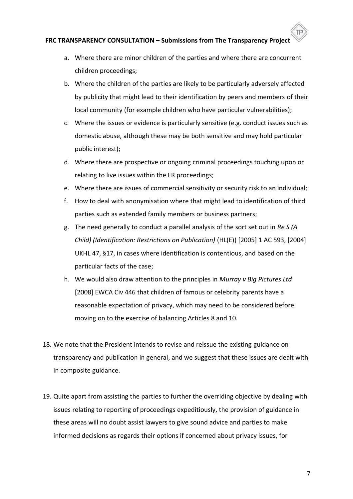- a. Where there are minor children of the parties and where there are concurrent children proceedings;
- b. Where the children of the parties are likely to be particularly adversely affected by publicity that might lead to their identification by peers and members of their local community (for example children who have particular vulnerabilities);
- c. Where the issues or evidence is particularly sensitive (e.g. conduct issues such as domestic abuse, although these may be both sensitive and may hold particular public interest);
- d. Where there are prospective or ongoing criminal proceedings touching upon or relating to live issues within the FR proceedings;
- e. Where there are issues of commercial sensitivity or security risk to an individual;
- f. How to deal with anonymisation where that might lead to identification of third parties such as extended family members or business partners;
- g. The need generally to conduct a parallel analysis of the sort set out in *Re S (A Child) (Identification: Restrictions on Publication)* (HL(E)) [2005] 1 AC 593, [2004] UKHL 47, §17, in cases where identification is contentious, and based on the particular facts of the case;
- h. We would also draw attention to the principles in *Murray v Big Pictures Ltd* [2008] EWCA Civ 446 that children of famous or celebrity parents have a reasonable expectation of privacy, which may need to be considered before moving on to the exercise of balancing Articles 8 and 10.
- 18. We note that the President intends to revise and reissue the existing guidance on transparency and publication in general, and we suggest that these issues are dealt with in composite guidance.
- 19. Quite apart from assisting the parties to further the overriding objective by dealing with issues relating to reporting of proceedings expeditiously, the provision of guidance in these areas will no doubt assist lawyers to give sound advice and parties to make informed decisions as regards their options if concerned about privacy issues, for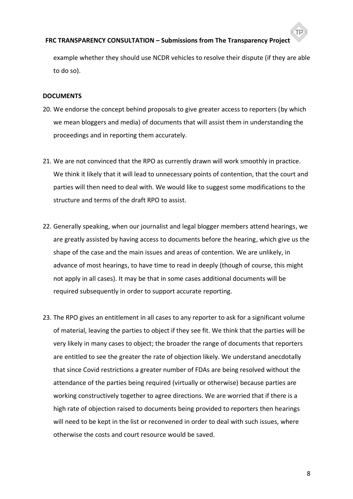## **FRC TRANSPARENCY CONSULTATION – Submissions from The Transparency Project** example whether they should use NCDR vehicles to resolve their dispute (if they are able to do so).

#### **DOCUMENTS**

- 20. We endorse the concept behind proposals to give greater access to reporters (by which we mean bloggers and media) of documents that will assist them in understanding the proceedings and in reporting them accurately.
- 21. We are not convinced that the RPO as currently drawn will work smoothly in practice. We think it likely that it will lead to unnecessary points of contention, that the court and parties will then need to deal with. We would like to suggest some modifications to the structure and terms of the draft RPO to assist.
- 22. Generally speaking, when our journalist and legal blogger members attend hearings, we are greatly assisted by having access to documents before the hearing, which give us the shape of the case and the main issues and areas of contention. We are unlikely, in advance of most hearings, to have time to read in deeply (though of course, this might not apply in all cases). It may be that in some cases additional documents will be required subsequently in order to support accurate reporting.
- 23. The RPO gives an entitlement in all cases to any reporter to ask for a significant volume of material, leaving the parties to object if they see fit. We think that the parties will be very likely in many cases to object; the broader the range of documents that reporters are entitled to see the greater the rate of objection likely. We understand anecdotally that since Covid restrictions a greater number of FDAs are being resolved without the attendance of the parties being required (virtually or otherwise) because parties are working constructively together to agree directions. We are worried that if there is a high rate of objection raised to documents being provided to reporters then hearings will need to be kept in the list or reconvened in order to deal with such issues, where otherwise the costs and court resource would be saved.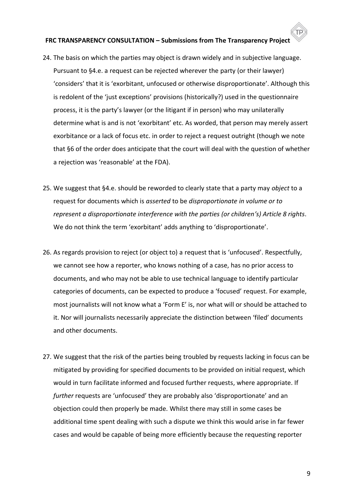- 24. The basis on which the parties may object is drawn widely and in subjective language. Pursuant to §4.e. a request can be rejected wherever the party (or their lawyer) 'considers' that it is 'exorbitant, unfocused or otherwise disproportionate'. Although this is redolent of the 'just exceptions' provisions (historically?) used in the questionnaire process, it is the party's lawyer (or the litigant if in person) who may unilaterally determine what is and is not 'exorbitant' etc. As worded, that person may merely assert exorbitance or a lack of focus etc. in order to reject a request outright (though we note that §6 of the order does anticipate that the court will deal with the question of whether a rejection was 'reasonable' at the FDA).
- 25. We suggest that §4.e. should be reworded to clearly state that a party may *object* to a request for documents which is *asserted* to be *disproportionate in volume or to represent a disproportionate interference with the parties (or children's) Article 8 rights*. We do not think the term 'exorbitant' adds anything to 'disproportionate'.
- 26. As regards provision to reject (or object to) a request that is 'unfocused'. Respectfully, we cannot see how a reporter, who knows nothing of a case, has no prior access to documents, and who may not be able to use technical language to identify particular categories of documents, can be expected to produce a 'focused' request. For example, most journalists will not know what a 'Form E' is, nor what will or should be attached to it. Nor will journalists necessarily appreciate the distinction between 'filed' documents and other documents.
- 27. We suggest that the risk of the parties being troubled by requests lacking in focus can be mitigated by providing for specified documents to be provided on initial request, which would in turn facilitate informed and focused further requests, where appropriate. If *further* requests are 'unfocused' they are probably also 'disproportionate' and an objection could then properly be made. Whilst there may still in some cases be additional time spent dealing with such a dispute we think this would arise in far fewer cases and would be capable of being more efficiently because the requesting reporter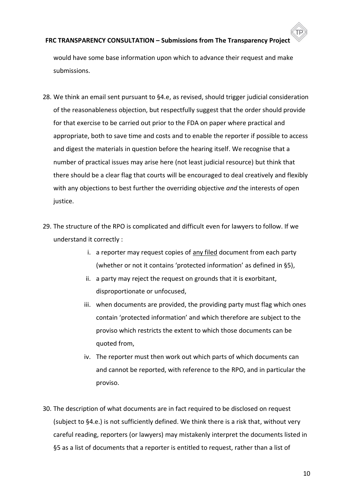## **FRC TRANSPARENCY CONSULTATION – Submissions from The Transparency Project** would have some base information upon which to advance their request and make submissions.

- 28. We think an email sent pursuant to §4.e, as revised, should trigger judicial consideration of the reasonableness objection, but respectfully suggest that the order should provide for that exercise to be carried out prior to the FDA on paper where practical and appropriate, both to save time and costs and to enable the reporter if possible to access and digest the materials in question before the hearing itself. We recognise that a number of practical issues may arise here (not least judicial resource) but think that there should be a clear flag that courts will be encouraged to deal creatively and flexibly with any objections to best further the overriding objective *and* the interests of open justice.
- 29. The structure of the RPO is complicated and difficult even for lawyers to follow. If we understand it correctly :
	- i. a reporter may request copies of any filed document from each party (whether or not it contains 'protected information' as defined in §5),
	- ii. a party may reject the request on grounds that it is exorbitant, disproportionate or unfocused,
	- iii. when documents are provided, the providing party must flag which ones contain 'protected information' and which therefore are subject to the proviso which restricts the extent to which those documents can be quoted from,
	- iv. The reporter must then work out which parts of which documents can and cannot be reported, with reference to the RPO, and in particular the proviso.
- 30. The description of what documents are in fact required to be disclosed on request (subject to §4.e.) is not sufficiently defined. We think there is a risk that, without very careful reading, reporters (or lawyers) may mistakenly interpret the documents listed in §5 as a list of documents that a reporter is entitled to request, rather than a list of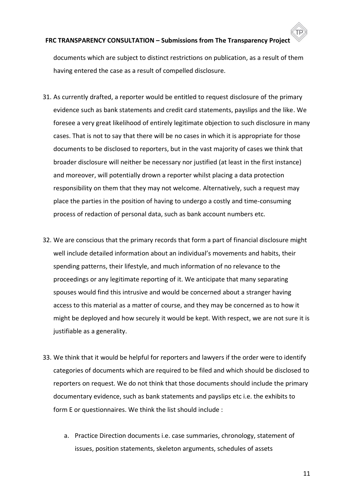documents which are subject to distinct restrictions on publication, as a result of them having entered the case as a result of compelled disclosure.

- 31. As currently drafted, a reporter would be entitled to request disclosure of the primary evidence such as bank statements and credit card statements, payslips and the like. We foresee a very great likelihood of entirely legitimate objection to such disclosure in many cases. That is not to say that there will be no cases in which it is appropriate for those documents to be disclosed to reporters, but in the vast majority of cases we think that broader disclosure will neither be necessary nor justified (at least in the first instance) and moreover, will potentially drown a reporter whilst placing a data protection responsibility on them that they may not welcome. Alternatively, such a request may place the parties in the position of having to undergo a costly and time-consuming process of redaction of personal data, such as bank account numbers etc.
- 32. We are conscious that the primary records that form a part of financial disclosure might well include detailed information about an individual's movements and habits, their spending patterns, their lifestyle, and much information of no relevance to the proceedings or any legitimate reporting of it. We anticipate that many separating spouses would find this intrusive and would be concerned about a stranger having access to this material as a matter of course, and they may be concerned as to how it might be deployed and how securely it would be kept. With respect, we are not sure it is justifiable as a generality.
- 33. We think that it would be helpful for reporters and lawyers if the order were to identify categories of documents which are required to be filed and which should be disclosed to reporters on request. We do not think that those documents should include the primary documentary evidence, such as bank statements and payslips etc i.e. the exhibits to form E or questionnaires. We think the list should include :
	- a. Practice Direction documents i.e. case summaries, chronology, statement of issues, position statements, skeleton arguments, schedules of assets

11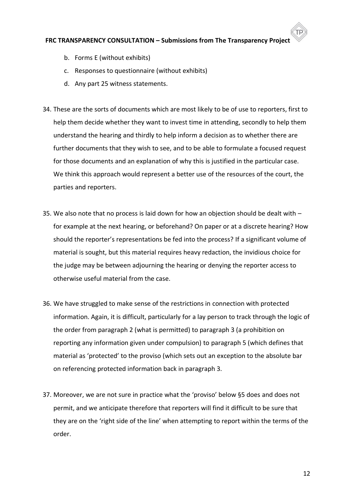- b. Forms E (without exhibits)
- c. Responses to questionnaire (without exhibits)
- d. Any part 25 witness statements.
- 34. These are the sorts of documents which are most likely to be of use to reporters, first to help them decide whether they want to invest time in attending, secondly to help them understand the hearing and thirdly to help inform a decision as to whether there are further documents that they wish to see, and to be able to formulate a focused request for those documents and an explanation of why this is justified in the particular case. We think this approach would represent a better use of the resources of the court, the parties and reporters.
- 35. We also note that no process is laid down for how an objection should be dealt with for example at the next hearing, or beforehand? On paper or at a discrete hearing? How should the reporter's representations be fed into the process? If a significant volume of material is sought, but this material requires heavy redaction, the invidious choice for the judge may be between adjourning the hearing or denying the reporter access to otherwise useful material from the case.
- 36. We have struggled to make sense of the restrictions in connection with protected information. Again, it is difficult, particularly for a lay person to track through the logic of the order from paragraph 2 (what is permitted) to paragraph 3 (a prohibition on reporting any information given under compulsion) to paragraph 5 (which defines that material as 'protected' to the proviso (which sets out an exception to the absolute bar on referencing protected information back in paragraph 3.
- 37. Moreover, we are not sure in practice what the 'proviso' below §5 does and does not permit, and we anticipate therefore that reporters will find it difficult to be sure that they are on the 'right side of the line' when attempting to report within the terms of the order.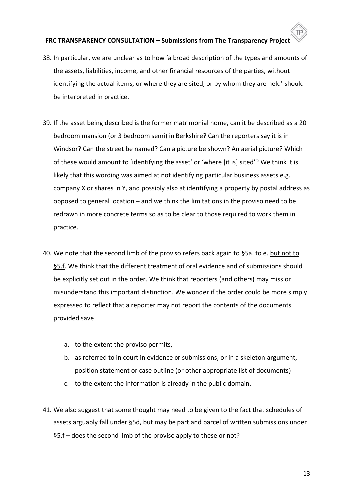- 38. In particular, we are unclear as to how 'a broad description of the types and amounts of the assets, liabilities, income, and other financial resources of the parties, without identifying the actual items, or where they are sited, or by whom they are held' should be interpreted in practice.
- 39. If the asset being described is the former matrimonial home, can it be described as a 20 bedroom mansion (or 3 bedroom semi) in Berkshire? Can the reporters say it is in Windsor? Can the street be named? Can a picture be shown? An aerial picture? Which of these would amount to 'identifying the asset' or 'where [it is] sited'? We think it is likely that this wording was aimed at not identifying particular business assets e.g. company X or shares in Y, and possibly also at identifying a property by postal address as opposed to general location – and we think the limitations in the proviso need to be redrawn in more concrete terms so as to be clear to those required to work them in practice.
- 40. We note that the second limb of the proviso refers back again to §5a. to e. but not to §5.f. We think that the different treatment of oral evidence and of submissions should be explicitly set out in the order. We think that reporters (and others) may miss or misunderstand this important distinction. We wonder if the order could be more simply expressed to reflect that a reporter may not report the contents of the documents provided save
	- a. to the extent the proviso permits,
	- b. as referred to in court in evidence or submissions, or in a skeleton argument, position statement or case outline (or other appropriate list of documents)
	- c. to the extent the information is already in the public domain.
- 41. We also suggest that some thought may need to be given to the fact that schedules of assets arguably fall under §5d, but may be part and parcel of written submissions under §5.f – does the second limb of the proviso apply to these or not?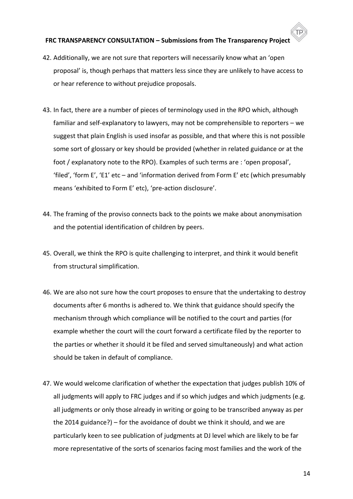- 42. Additionally, we are not sure that reporters will necessarily know what an 'open proposal' is, though perhaps that matters less since they are unlikely to have access to or hear reference to without prejudice proposals.
- 43. In fact, there are a number of pieces of terminology used in the RPO which, although familiar and self-explanatory to lawyers, may not be comprehensible to reporters – we suggest that plain English is used insofar as possible, and that where this is not possible some sort of glossary or key should be provided (whether in related guidance or at the foot / explanatory note to the RPO). Examples of such terms are : 'open proposal', 'filed', 'form E', 'E1' etc – and 'information derived from Form E' etc (which presumably means 'exhibited to Form E' etc), 'pre-action disclosure'.
- 44. The framing of the proviso connects back to the points we make about anonymisation and the potential identification of children by peers.
- 45. Overall, we think the RPO is quite challenging to interpret, and think it would benefit from structural simplification.
- 46. We are also not sure how the court proposes to ensure that the undertaking to destroy documents after 6 months is adhered to. We think that guidance should specify the mechanism through which compliance will be notified to the court and parties (for example whether the court will the court forward a certificate filed by the reporter to the parties or whether it should it be filed and served simultaneously) and what action should be taken in default of compliance.
- 47. We would welcome clarification of whether the expectation that judges publish 10% of all judgments will apply to FRC judges and if so which judges and which judgments (e.g. all judgments or only those already in writing or going to be transcribed anyway as per the 2014 guidance?) – for the avoidance of doubt we think it should, and we are particularly keen to see publication of judgments at DJ level which are likely to be far more representative of the sorts of scenarios facing most families and the work of the